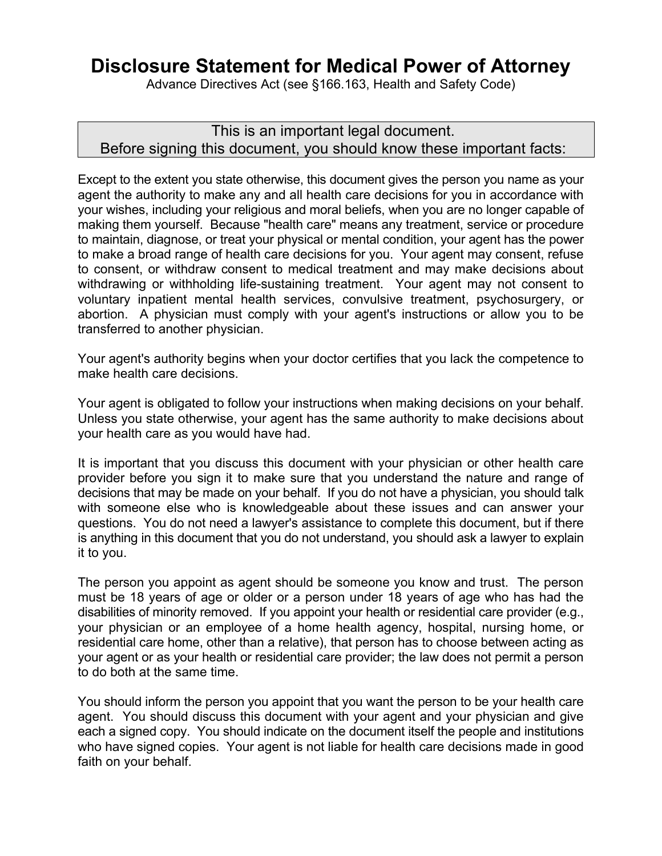# **Disclosure Statement for Medical Power of Attorney**

Advance Directives Act (see §166.163, Health and Safety Code)

# This is an important legal document. Before signing this document, you should know these important facts:

Except to the extent you state otherwise, this document gives the person you name as your agent the authority to make any and all health care decisions for you in accordance with your wishes, including your religious and moral beliefs, when you are no longer capable of making them yourself. Because "health care" means any treatment, service or procedure to maintain, diagnose, or treat your physical or mental condition, your agent has the power to make a broad range of health care decisions for you. Your agent may consent, refuse to consent, or withdraw consent to medical treatment and may make decisions about withdrawing or withholding life-sustaining treatment. Your agent may not consent to voluntary inpatient mental health services, convulsive treatment, psychosurgery, or abortion. A physician must comply with your agent's instructions or allow you to be transferred to another physician.

Your agent's authority begins when your doctor certifies that you lack the competence to make health care decisions.

Your agent is obligated to follow your instructions when making decisions on your behalf. Unless you state otherwise, your agent has the same authority to make decisions about your health care as you would have had.

It is important that you discuss this document with your physician or other health care provider before you sign it to make sure that you understand the nature and range of decisions that may be made on your behalf. If you do not have a physician, you should talk with someone else who is knowledgeable about these issues and can answer your questions. You do not need a lawyer's assistance to complete this document, but if there is anything in this document that you do not understand, you should ask a lawyer to explain it to you.

The person you appoint as agent should be someone you know and trust. The person must be 18 years of age or older or a person under 18 years of age who has had the disabilities of minority removed. If you appoint your health or residential care provider (e.g., your physician or an employee of a home health agency, hospital, nursing home, or residential care home, other than a relative), that person has to choose between acting as your agent or as your health or residential care provider; the law does not permit a person to do both at the same time.

You should inform the person you appoint that you want the person to be your health care agent. You should discuss this document with your agent and your physician and give each a signed copy. You should indicate on the document itself the people and institutions who have signed copies. Your agent is not liable for health care decisions made in good faith on your behalf.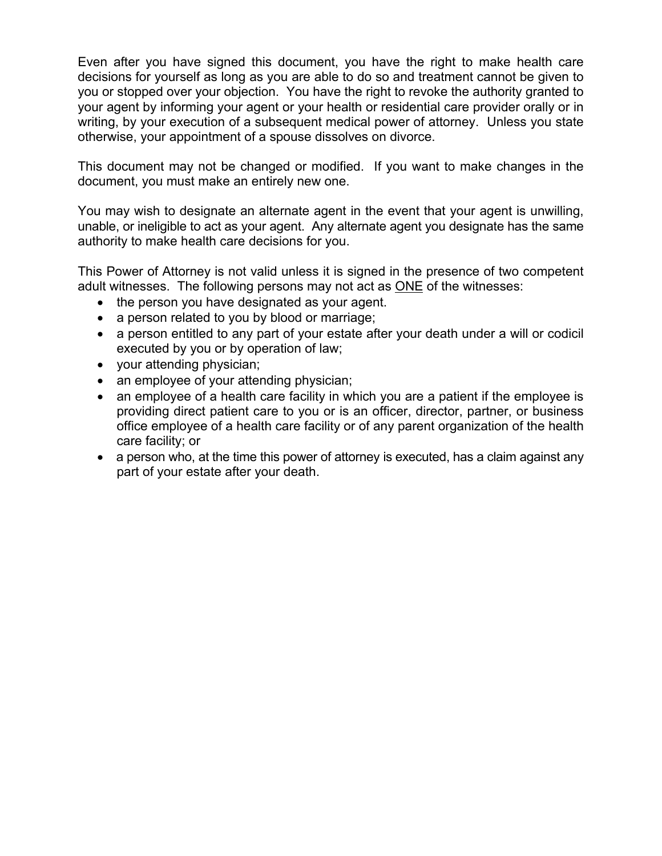Even after you have signed this document, you have the right to make health care decisions for yourself as long as you are able to do so and treatment cannot be given to you or stopped over your objection. You have the right to revoke the authority granted to your agent by informing your agent or your health or residential care provider orally or in writing, by your execution of a subsequent medical power of attorney. Unless you state otherwise, your appointment of a spouse dissolves on divorce.

This document may not be changed or modified. If you want to make changes in the document, you must make an entirely new one.

You may wish to designate an alternate agent in the event that your agent is unwilling, unable, or ineligible to act as your agent. Any alternate agent you designate has the same authority to make health care decisions for you.

This Power of Attorney is not valid unless it is signed in the presence of two competent adult witnesses. The following persons may not act as ONE of the witnesses:

- the person you have designated as your agent.
- a person related to you by blood or marriage;
- a person entitled to any part of your estate after your death under a will or codicil executed by you or by operation of law;
- your attending physician;
- an employee of your attending physician;
- an employee of a health care facility in which you are a patient if the employee is providing direct patient care to you or is an officer, director, partner, or business office employee of a health care facility or of any parent organization of the health care facility; or
- a person who, at the time this power of attorney is executed, has a claim against any part of your estate after your death.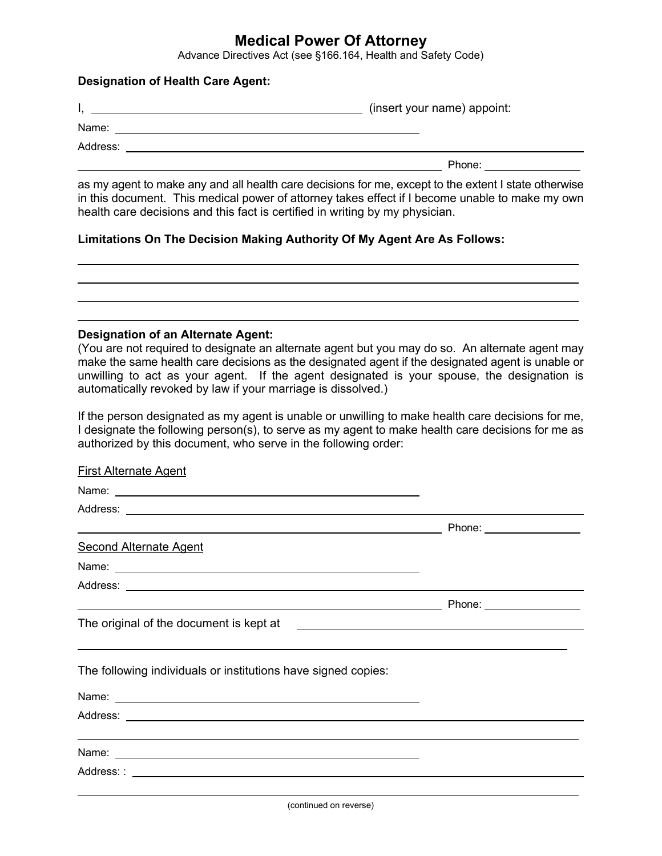# **Medical Power Of Attorney**

Advance Directives Act (see §166.164, Health and Safety Code)

## **Designation of Health Care Agent:**

| (insert your name) appoint: |
|-----------------------------|
|                             |
|                             |
| Phone:                      |
|                             |

as my agent to make any and all health care decisions for me, except to the extent I state otherwise in this document. This medical power of attorney takes effect if I become unable to make my own health care decisions and this fact is certified in writing by my physician.

> 

# **Limitations On The Decision Making Authority Of My Agent Are As Follows:**

#### **Designation of an Alternate Agent:**

First Alternate Agent

(You are not required to designate an alternate agent but you may do so. An alternate agent may make the same health care decisions as the designated agent if the designated agent is unable or unwilling to act as your agent. If the agent designated is your spouse, the designation is automatically revoked by law if your marriage is dissolved.)

If the person designated as my agent is unable or unwilling to make health care decisions for me, I designate the following person(s), to serve as my agent to make health care decisions for me as authorized by this document, who serve in the following order:

| <u>1981   1981   1981   1981   1982   1982   1982   1982   1982   1982   1982   1982   1982   1982   1982   1982   1983   1983   1984   1984   1984   1984   1984   1984   1984   1984   1984   1984   1984   1984   1984   1984</u> |                            |  |
|--------------------------------------------------------------------------------------------------------------------------------------------------------------------------------------------------------------------------------------|----------------------------|--|
|                                                                                                                                                                                                                                      |                            |  |
|                                                                                                                                                                                                                                      |                            |  |
| <u> 1989 - Johann Stoff, fransk politik (d. 1989)</u>                                                                                                                                                                                |                            |  |
| <b>Second Alternate Agent</b>                                                                                                                                                                                                        |                            |  |
|                                                                                                                                                                                                                                      |                            |  |
|                                                                                                                                                                                                                                      |                            |  |
|                                                                                                                                                                                                                                      | Phone: ___________________ |  |
| The original of the document is kept at<br><u> 1989 - Andrea Andrew Maria (h. 1989).</u>                                                                                                                                             |                            |  |
| The following individuals or institutions have signed copies:                                                                                                                                                                        |                            |  |
|                                                                                                                                                                                                                                      |                            |  |
|                                                                                                                                                                                                                                      |                            |  |
|                                                                                                                                                                                                                                      |                            |  |
|                                                                                                                                                                                                                                      |                            |  |
|                                                                                                                                                                                                                                      |                            |  |
|                                                                                                                                                                                                                                      |                            |  |